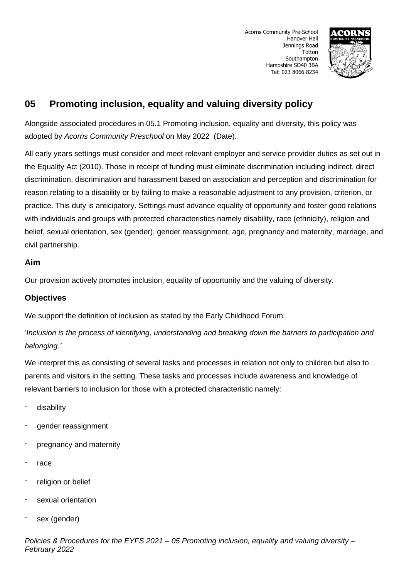

# **05 Promoting inclusion, equality and valuing diversity policy**

Alongside associated procedures in 05.1 Promoting inclusion, equality and diversity, this policy was adopted by *Acorns Community Preschool* on May 2022 (Date).

All early years settings must consider and meet relevant employer and service provider duties as set out in the Equality Act (2010). Those in receipt of funding must eliminate discrimination including indirect, direct discrimination, discrimination and harassment based on association and perception and discrimination for reason relating to a disability or by failing to make a reasonable adjustment to any provision, criterion, or practice. This duty is anticipatory. Settings must advance equality of opportunity and foster good relations with individuals and groups with protected characteristics namely disability, race (ethnicity), religion and belief, sexual orientation, sex (gender), gender reassignment, age, pregnancy and maternity, marriage, and civil partnership.

### **Aim**

Our provision actively promotes inclusion, equality of opportunity and the valuing of diversity.

### **Objectives**

We support the definition of inclusion as stated by the Early Childhood Forum:

'*Inclusion is the process of identifying, understanding and breaking down the barriers to participation and belonging.'*

We interpret this as consisting of several tasks and processes in relation not only to children but also to parents and visitors in the setting. These tasks and processes include awareness and knowledge of relevant barriers to inclusion for those with a protected characteristic namely:

- disability
- gender reassignment
- pregnancy and maternity
- race
- religion or belief
- sexual orientation
- sex (gender)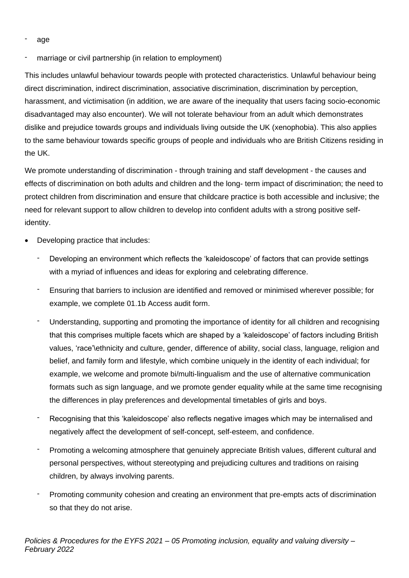- age
- marriage or civil partnership (in relation to employment)

This includes unlawful behaviour towards people with protected characteristics. Unlawful behaviour being direct discrimination, indirect discrimination, associative discrimination, discrimination by perception, harassment, and victimisation (in addition, we are aware of the inequality that users facing socio-economic disadvantaged may also encounter). We will not tolerate behaviour from an adult which demonstrates dislike and prejudice towards groups and individuals living outside the UK (xenophobia). This also applies to the same behaviour towards specific groups of people and individuals who are British Citizens residing in the UK.

We promote understanding of discrimination - through training and staff development - the causes and effects of discrimination on both adults and children and the long- term impact of discrimination; the need to protect children from discrimination and ensure that childcare practice is both accessible and inclusive; the need for relevant support to allow children to develop into confident adults with a strong positive selfidentity.

- Developing practice that includes:
	- Developing an environment which reflects the 'kaleidoscope' of factors that can provide settings with a myriad of influences and ideas for exploring and celebrating difference.
	- Ensuring that barriers to inclusion are identified and removed or minimised wherever possible; for example, we complete 01.1b Access audit form.
	- Understanding, supporting and promoting the importance of identity for all children and recognising that this comprises multiple facets which are shaped by a 'kaleidoscope' of factors including British values, 'race'\ethnicity and culture, gender, difference of ability, social class, language, religion and belief, and family form and lifestyle, which combine uniquely in the identity of each individual; for example, we welcome and promote bi/multi-lingualism and the use of alternative communication formats such as sign language, and we promote gender equality while at the same time recognising the differences in play preferences and developmental timetables of girls and boys.
	- Recognising that this 'kaleidoscope' also reflects negative images which may be internalised and negatively affect the development of self-concept, self-esteem, and confidence.
	- Promoting a welcoming atmosphere that genuinely appreciate British values, different cultural and personal perspectives, without stereotyping and prejudicing cultures and traditions on raising children, by always involving parents.
	- Promoting community cohesion and creating an environment that pre-empts acts of discrimination so that they do not arise.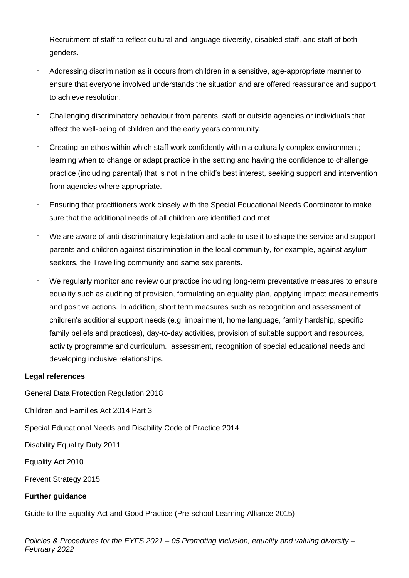- Recruitment of staff to reflect cultural and language diversity, disabled staff, and staff of both genders.
- Addressing discrimination as it occurs from children in a sensitive, age-appropriate manner to ensure that everyone involved understands the situation and are offered reassurance and support to achieve resolution.
- Challenging discriminatory behaviour from parents, staff or outside agencies or individuals that affect the well-being of children and the early years community.
- Creating an ethos within which staff work confidently within a culturally complex environment; learning when to change or adapt practice in the setting and having the confidence to challenge practice (including parental) that is not in the child's best interest, seeking support and intervention from agencies where appropriate.
- Ensuring that practitioners work closely with the Special Educational Needs Coordinator to make sure that the additional needs of all children are identified and met.
- We are aware of anti-discriminatory legislation and able to use it to shape the service and support parents and children against discrimination in the local community, for example, against asylum seekers, the Travelling community and same sex parents.
- We regularly monitor and review our practice including long-term preventative measures to ensure equality such as auditing of provision, formulating an equality plan, applying impact measurements and positive actions. In addition, short term measures such as recognition and assessment of children's additional support needs (e.g. impairment, home language, family hardship, specific family beliefs and practices), day-to-day activities, provision of suitable support and resources, activity programme and curriculum., assessment, recognition of special educational needs and developing inclusive relationships.

#### **Legal references**

General Data Protection Regulation 2018

Children and Families Act 2014 Part 3

Special Educational Needs and Disability Code of Practice 2014

Disability Equality Duty 2011

Equality Act 2010

Prevent Strategy 2015

### **Further guidance**

Guide to the Equality Act and Good Practice (Pre-school Learning Alliance 2015)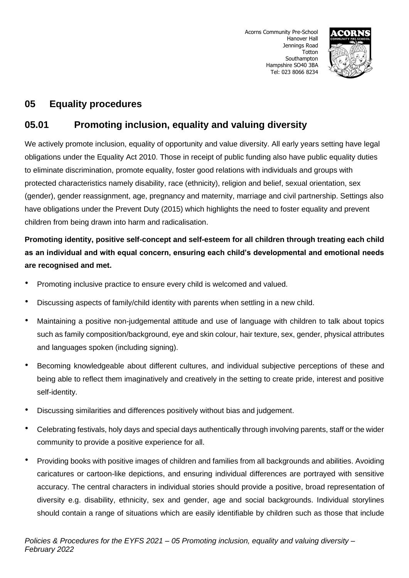

## **05 Equality procedures**

# **05.01 Promoting inclusion, equality and valuing diversity**

We actively promote inclusion, equality of opportunity and value diversity. All early years setting have legal obligations under the Equality Act 2010. Those in receipt of public funding also have public equality duties to eliminate discrimination, promote equality, foster good relations with individuals and groups with protected characteristics namely disability, race (ethnicity), religion and belief, sexual orientation, sex (gender), gender reassignment, age, pregnancy and maternity, marriage and civil partnership. Settings also have obligations under the Prevent Duty (2015) which highlights the need to foster equality and prevent children from being drawn into harm and radicalisation.

## **Promoting identity, positive self-concept and self-esteem for all children through treating each child as an individual and with equal concern, ensuring each child's developmental and emotional needs are recognised and met.**

- Promoting inclusive practice to ensure every child is welcomed and valued.
- Discussing aspects of family/child identity with parents when settling in a new child.
- Maintaining a positive non-judgemental attitude and use of language with children to talk about topics such as family composition/background, eye and skin colour, hair texture, sex, gender, physical attributes and languages spoken (including signing).
- Becoming knowledgeable about different cultures, and individual subjective perceptions of these and being able to reflect them imaginatively and creatively in the setting to create pride, interest and positive self-identity.
- Discussing similarities and differences positively without bias and judgement.
- Celebrating festivals, holy days and special days authentically through involving parents, staff or the wider community to provide a positive experience for all.
- Providing books with positive images of children and families from all backgrounds and abilities. Avoiding caricatures or cartoon-like depictions, and ensuring individual differences are portrayed with sensitive accuracy. The central characters in individual stories should provide a positive, broad representation of diversity e.g. disability, ethnicity, sex and gender, age and social backgrounds. Individual storylines should contain a range of situations which are easily identifiable by children such as those that include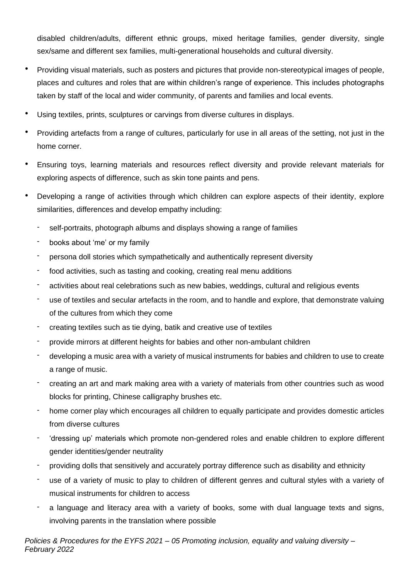disabled children/adults, different ethnic groups, mixed heritage families, gender diversity, single sex/same and different sex families, multi-generational households and cultural diversity.

- Providing visual materials, such as posters and pictures that provide non-stereotypical images of people, places and cultures and roles that are within children's range of experience. This includes photographs taken by staff of the local and wider community, of parents and families and local events.
- Using textiles, prints, sculptures or carvings from diverse cultures in displays.
- Providing artefacts from a range of cultures, particularly for use in all areas of the setting, not just in the home corner.
- Ensuring toys, learning materials and resources reflect diversity and provide relevant materials for exploring aspects of difference, such as skin tone paints and pens.
- Developing a range of activities through which children can explore aspects of their identity, explore similarities, differences and develop empathy including:
	- self-portraits, photograph albums and displays showing a range of families
	- books about 'me' or my family
	- persona doll stories which sympathetically and authentically represent diversity
	- food activities, such as tasting and cooking, creating real menu additions
	- activities about real celebrations such as new babies, weddings, cultural and religious events
	- use of textiles and secular artefacts in the room, and to handle and explore, that demonstrate valuing of the cultures from which they come
	- creating textiles such as tie dying, batik and creative use of textiles
	- provide mirrors at different heights for babies and other non-ambulant children
	- developing a music area with a variety of musical instruments for babies and children to use to create a range of music.
	- creating an art and mark making area with a variety of materials from other countries such as wood blocks for printing, Chinese calligraphy brushes etc.
	- home corner play which encourages all children to equally participate and provides domestic articles from diverse cultures
	- 'dressing up' materials which promote non-gendered roles and enable children to explore different gender identities/gender neutrality
	- providing dolls that sensitively and accurately portray difference such as disability and ethnicity
	- use of a variety of music to play to children of different genres and cultural styles with a variety of musical instruments for children to access
	- a language and literacy area with a variety of books, some with dual language texts and signs, involving parents in the translation where possible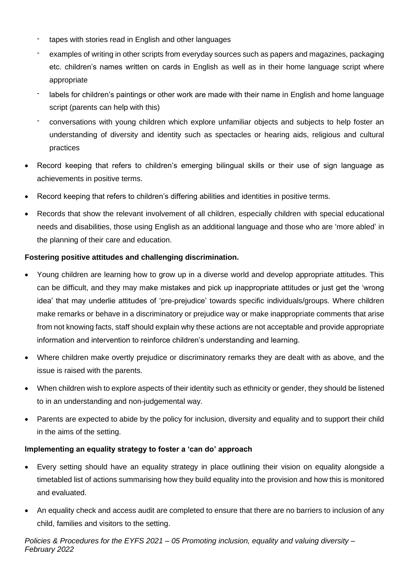- tapes with stories read in English and other languages
- examples of writing in other scripts from everyday sources such as papers and magazines, packaging etc. children's names written on cards in English as well as in their home language script where appropriate
- labels for children's paintings or other work are made with their name in English and home language script (parents can help with this)
- conversations with young children which explore unfamiliar objects and subjects to help foster an understanding of diversity and identity such as spectacles or hearing aids, religious and cultural practices
- Record keeping that refers to children's emerging bilingual skills or their use of sign language as achievements in positive terms.
- Record keeping that refers to children's differing abilities and identities in positive terms.
- Records that show the relevant involvement of all children, especially children with special educational needs and disabilities, those using English as an additional language and those who are 'more abled' in the planning of their care and education.

### **Fostering positive attitudes and challenging discrimination.**

- Young children are learning how to grow up in a diverse world and develop appropriate attitudes. This can be difficult, and they may make mistakes and pick up inappropriate attitudes or just get the 'wrong idea' that may underlie attitudes of 'pre-prejudice' towards specific individuals/groups. Where children make remarks or behave in a discriminatory or prejudice way or make inappropriate comments that arise from not knowing facts, staff should explain why these actions are not acceptable and provide appropriate information and intervention to reinforce children's understanding and learning.
- Where children make overtly prejudice or discriminatory remarks they are dealt with as above, and the issue is raised with the parents.
- When children wish to explore aspects of their identity such as ethnicity or gender, they should be listened to in an understanding and non-judgemental way.
- Parents are expected to abide by the policy for inclusion, diversity and equality and to support their child in the aims of the setting.

### **Implementing an equality strategy to foster a 'can do' approach**

- Every setting should have an equality strategy in place outlining their vision on equality alongside a timetabled list of actions summarising how they build equality into the provision and how this is monitored and evaluated.
- An equality check and access audit are completed to ensure that there are no barriers to inclusion of any child, families and visitors to the setting.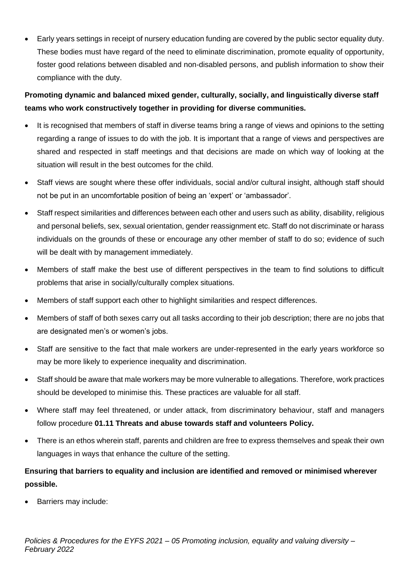• Early years settings in receipt of nursery education funding are covered by the public sector equality duty. These bodies must have regard of the need to eliminate discrimination, promote equality of opportunity, foster good relations between disabled and non-disabled persons, and publish information to show their compliance with the duty.

## **Promoting dynamic and balanced mixed gender, culturally, socially, and linguistically diverse staff teams who work constructively together in providing for diverse communities.**

- It is recognised that members of staff in diverse teams bring a range of views and opinions to the setting regarding a range of issues to do with the job. It is important that a range of views and perspectives are shared and respected in staff meetings and that decisions are made on which way of looking at the situation will result in the best outcomes for the child.
- Staff views are sought where these offer individuals, social and/or cultural insight, although staff should not be put in an uncomfortable position of being an 'expert' or 'ambassador'.
- Staff respect similarities and differences between each other and users such as ability, disability, religious and personal beliefs, sex, sexual orientation, gender reassignment etc. Staff do not discriminate or harass individuals on the grounds of these or encourage any other member of staff to do so; evidence of such will be dealt with by management immediately.
- Members of staff make the best use of different perspectives in the team to find solutions to difficult problems that arise in socially/culturally complex situations.
- Members of staff support each other to highlight similarities and respect differences.
- Members of staff of both sexes carry out all tasks according to their job description; there are no jobs that are designated men's or women's jobs.
- Staff are sensitive to the fact that male workers are under-represented in the early years workforce so may be more likely to experience inequality and discrimination.
- Staff should be aware that male workers may be more vulnerable to allegations. Therefore, work practices should be developed to minimise this. These practices are valuable for all staff.
- Where staff may feel threatened, or under attack, from discriminatory behaviour, staff and managers follow procedure **01.11 Threats and abuse towards staff and volunteers Policy.**
- There is an ethos wherein staff, parents and children are free to express themselves and speak their own languages in ways that enhance the culture of the setting.

## **Ensuring that barriers to equality and inclusion are identified and removed or minimised wherever possible.**

• Barriers may include: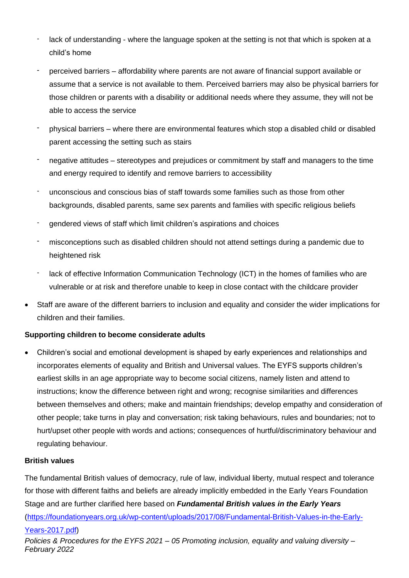- lack of understanding where the language spoken at the setting is not that which is spoken at a child's home
- perceived barriers affordability where parents are not aware of financial support available or assume that a service is not available to them. Perceived barriers may also be physical barriers for those children or parents with a disability or additional needs where they assume, they will not be able to access the service
- physical barriers where there are environmental features which stop a disabled child or disabled parent accessing the setting such as stairs
- negative attitudes stereotypes and prejudices or commitment by staff and managers to the time and energy required to identify and remove barriers to accessibility
- unconscious and conscious bias of staff towards some families such as those from other backgrounds, disabled parents, same sex parents and families with specific religious beliefs
- gendered views of staff which limit children's aspirations and choices
- misconceptions such as disabled children should not attend settings during a pandemic due to heightened risk
- lack of effective Information Communication Technology (ICT) in the homes of families who are vulnerable or at risk and therefore unable to keep in close contact with the childcare provider
- Staff are aware of the different barriers to inclusion and equality and consider the wider implications for children and their families.

### **Supporting children to become considerate adults**

• Children's social and emotional development is shaped by early experiences and relationships and incorporates elements of equality and British and Universal values. The EYFS supports children's earliest skills in an age appropriate way to become social citizens, namely listen and attend to instructions; know the difference between right and wrong; recognise similarities and differences between themselves and others; make and maintain friendships; develop empathy and consideration of other people; take turns in play and conversation; risk taking behaviours, rules and boundaries; not to hurt/upset other people with words and actions; consequences of hurtful/discriminatory behaviour and regulating behaviour.

#### **British values**

The fundamental British values of democracy, rule of law, individual liberty, mutual respect and tolerance for those with different faiths and beliefs are already implicitly embedded in the Early Years Foundation Stage and are further clarified here based on *Fundamental British values in the Early Years* [\(https://foundationyears.org.uk/wp-content/uploads/2017/08/Fundamental-British-Values-in-the-Early-](https://foundationyears.org.uk/wp-content/uploads/2017/08/Fundamental-British-Values-in-the-Early-Years-2017.pdf)[Years-2017.pdf\)](https://foundationyears.org.uk/wp-content/uploads/2017/08/Fundamental-British-Values-in-the-Early-Years-2017.pdf)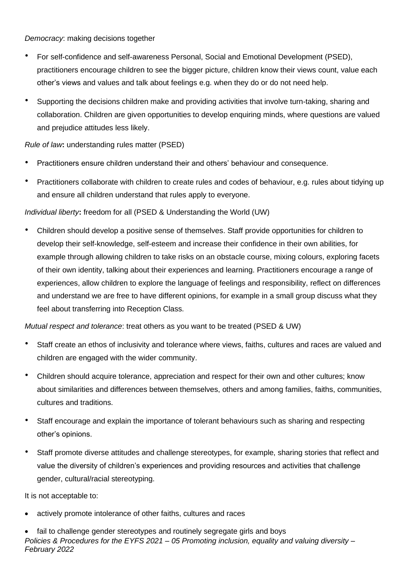#### *Democracy*: making decisions together

- For self-confidence and self-awareness Personal, Social and Emotional Development (PSED), practitioners encourage children to see the bigger picture, children know their views count, value each other's views and values and talk about feelings e.g. when they do or do not need help.
- Supporting the decisions children make and providing activities that involve turn-taking, sharing and collaboration. Children are given opportunities to develop enquiring minds, where questions are valued and prejudice attitudes less likely.

### *Rule of law***:** understanding rules matter (PSED)

- Practitioners ensure children understand their and others' behaviour and consequence.
- Practitioners collaborate with children to create rules and codes of behaviour, e.g. rules about tidying up and ensure all children understand that rules apply to everyone.

### *Individual liberty***:** freedom for all (PSED & Understanding the World (UW)

• Children should develop a positive sense of themselves. Staff provide opportunities for children to develop their self-knowledge, self-esteem and increase their confidence in their own abilities, for example through allowing children to take risks on an obstacle course, mixing colours, exploring facets of their own identity, talking about their experiences and learning. Practitioners encourage a range of experiences, allow children to explore the language of feelings and responsibility, reflect on differences and understand we are free to have different opinions, for example in a small group discuss what they feel about transferring into Reception Class.

*Mutual respect and tolerance*: treat others as you want to be treated (PSED & UW)

- Staff create an ethos of inclusivity and tolerance where views, faiths, cultures and races are valued and children are engaged with the wider community.
- Children should acquire tolerance, appreciation and respect for their own and other cultures; know about similarities and differences between themselves, others and among families, faiths, communities, cultures and traditions.
- Staff encourage and explain the importance of tolerant behaviours such as sharing and respecting other's opinions.
- Staff promote diverse attitudes and challenge stereotypes, for example, sharing stories that reflect and value the diversity of children's experiences and providing resources and activities that challenge gender, cultural/racial stereotyping.

It is not acceptable to:

- actively promote intolerance of other faiths, cultures and races
- *Policies & Procedures for the EYFS 2021 – 05 Promoting inclusion, equality and valuing diversity – February 2022* • fail to challenge gender stereotypes and routinely segregate girls and boys